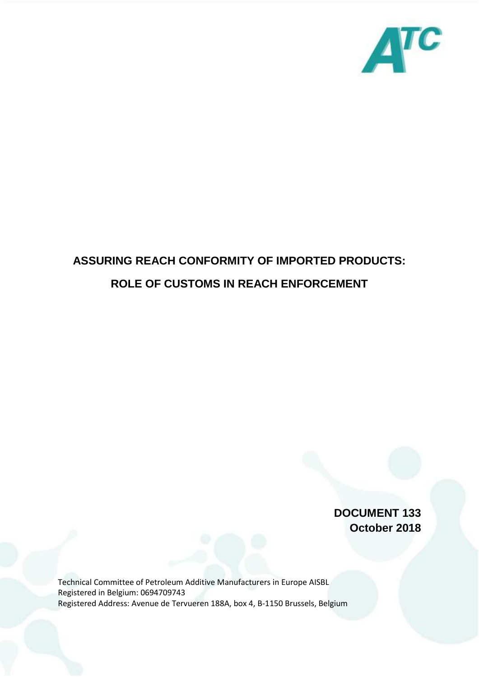

## **ASSURING REACH CONFORMITY OF IMPORTED PRODUCTS: ROLE OF CUSTOMS IN REACH ENFORCEMENT**

**DOCUMENT 133 October 2018**

Technical Committee of Petroleum Additive Manufacturers in Europe AISBL Registered in Belgium: 0694709743 Registered Address: Avenue de Tervueren 188A, box 4, B-1150 Brussels, Belgium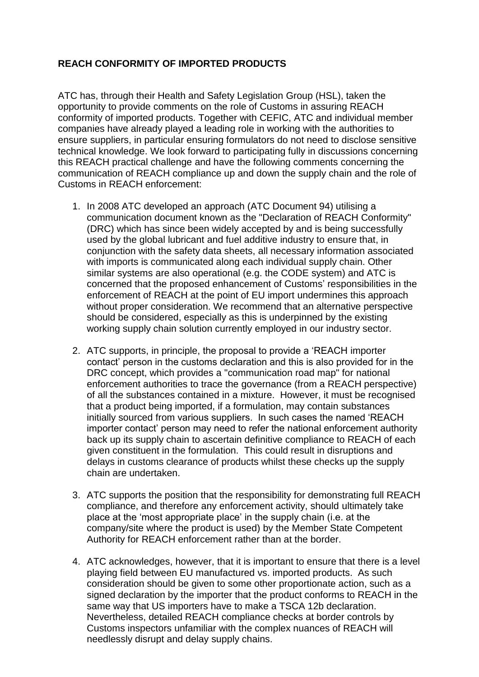## **REACH CONFORMITY OF IMPORTED PRODUCTS**

ATC has, through their Health and Safety Legislation Group (HSL), taken the opportunity to provide comments on the role of Customs in assuring REACH conformity of imported products. Together with CEFIC, ATC and individual member companies have already played a leading role in working with the authorities to ensure suppliers, in particular ensuring formulators do not need to disclose sensitive technical knowledge. We look forward to participating fully in discussions concerning this REACH practical challenge and have the following comments concerning the communication of REACH compliance up and down the supply chain and the role of Customs in REACH enforcement:

- 1. In 2008 ATC developed an approach (ATC Document 94) utilising a communication document known as the "Declaration of REACH Conformity" (DRC) which has since been widely accepted by and is being successfully used by the global lubricant and fuel additive industry to ensure that, in conjunction with the safety data sheets, all necessary information associated with imports is communicated along each individual supply chain. Other similar systems are also operational (e.g. the CODE system) and ATC is concerned that the proposed enhancement of Customs' responsibilities in the enforcement of REACH at the point of EU import undermines this approach without proper consideration. We recommend that an alternative perspective should be considered, especially as this is underpinned by the existing working supply chain solution currently employed in our industry sector.
- 2. ATC supports, in principle, the proposal to provide a 'REACH importer contact' person in the customs declaration and this is also provided for in the DRC concept, which provides a "communication road map" for national enforcement authorities to trace the governance (from a REACH perspective) of all the substances contained in a mixture. However, it must be recognised that a product being imported, if a formulation, may contain substances initially sourced from various suppliers. In such cases the named 'REACH importer contact' person may need to refer the national enforcement authority back up its supply chain to ascertain definitive compliance to REACH of each given constituent in the formulation. This could result in disruptions and delays in customs clearance of products whilst these checks up the supply chain are undertaken.
- 3. ATC supports the position that the responsibility for demonstrating full REACH compliance, and therefore any enforcement activity, should ultimately take place at the 'most appropriate place' in the supply chain (i.e. at the company/site where the product is used) by the Member State Competent Authority for REACH enforcement rather than at the border.
- 4. ATC acknowledges, however, that it is important to ensure that there is a level playing field between EU manufactured vs. imported products. As such consideration should be given to some other proportionate action, such as a signed declaration by the importer that the product conforms to REACH in the same way that US importers have to make a TSCA 12b declaration. Nevertheless, detailed REACH compliance checks at border controls by Customs inspectors unfamiliar with the complex nuances of REACH will needlessly disrupt and delay supply chains.